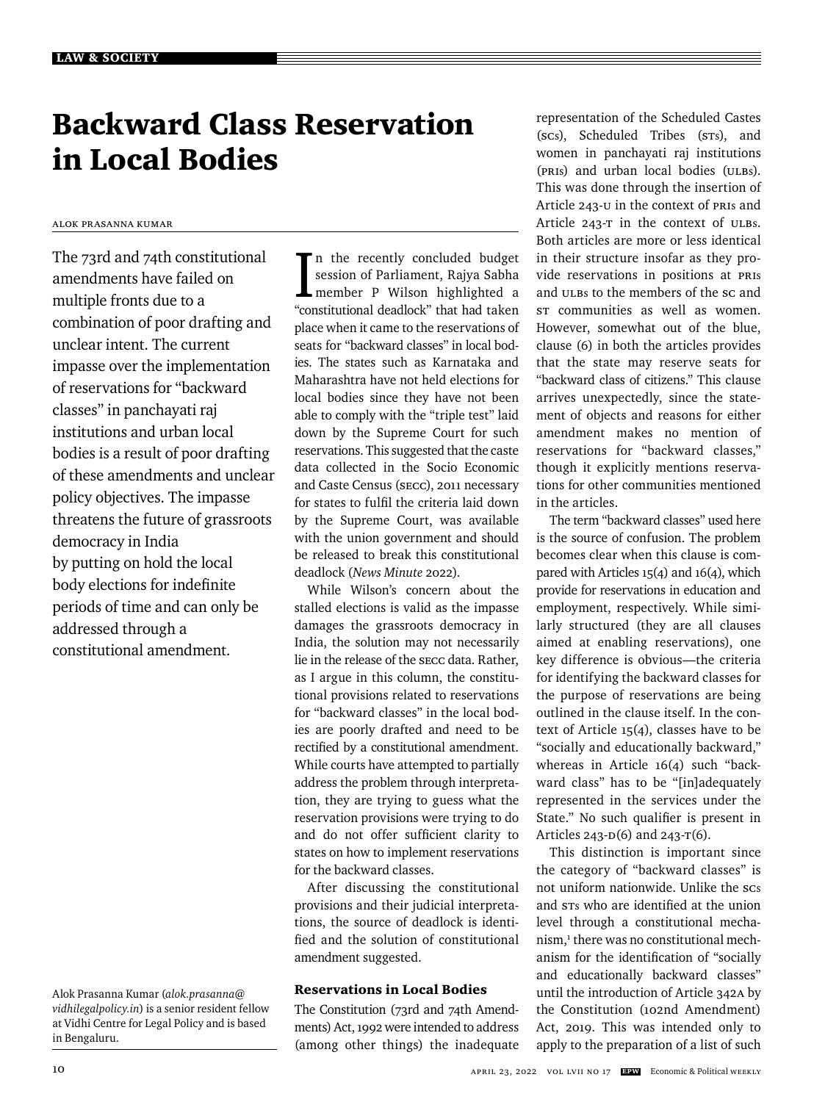# Backward Class Reservation in Local Bodies

#### Alok Prasanna Kumar

The 73rd and 74th constitutional amendments have failed on multiple fronts due to a combination of poor drafting and unclear intent. The current impasse over the implementation of reservations for "backward classes" in panchayati raj institutions and urban local bodies is a result of poor drafting of these amendments and unclear policy objectives. The impasse threatens the future of grassroots democracy in India by putting on hold the local body elections for indefinite periods of time and can only be addressed through a constitutional amendment.

Alok Prasanna Kumar (*alok.prasanna@ vidhilegalpolicy.in*) is a senior resident fellow at Vidhi Centre for Legal Policy and is based in Bengaluru.

In the recently concluded budget<br>session of Parliament, Rajya Sabha<br>member P Wilson highlighted a<br>"constitutional deadlock" that had taken session of Parliament, Rajya Sabha member P Wilson highlighted a "constitutional deadlock" that had taken place when it came to the reservations of seats for "backward classes" in local bodies. The states such as Karnataka and Mahara shtra have not held elections for local bodies since they have not been able to comply with the "triple test" laid down by the Supreme Court for such reser vations. This suggested that the caste data collected in the Socio Economic and Caste Census (SECC), 2011 necessary for states to fulfil the criteria laid down by the Supreme Court, was available with the union government and should be released to break this constitutional deadlock (*News Minute* 2022).

While Wilson's concern about the stalled elections is valid as the impasse dam ages the grassroots democracy in India, the solution may not necessarily lie in the release of the secc data. Rather, as I argue in this column, the constitutional provisions related to reservations for "backward classes" in the local bodies are poorly drafted and need to be rectified by a constitutional amendment. While courts have attempted to partially address the problem through interpretation, they are trying to guess what the reservation provisions were trying to do and do not offer sufficient clarity to states on how to implement reservations for the backward classes.

After discussing the constitutional provisions and their judicial interpretations, the source of deadlock is identified and the solution of constitutional amendment suggested.

#### Reservations in Local Bodies

The Constitution (73rd and 74th Amendments) Act, 1992 were intended to address (among other things) the inadequate

representation of the Scheduled Castes (SCs), Scheduled Tribes (STs), and women in panchayati raj institutions (PRIs) and urban local bodies (ULBs). This was done through the insertion of Article 243-U in the context of PRIs and Article 243-T in the context of ULBs. Both articles are more or less identical in their structure insofar as they provide reservations in positions at PRIs and ULBs to the members of the SC and ST communities as well as women. However, somewhat out of the blue, clause (6) in both the articles provides that the state may reserve seats for "backward class of citizens." This clause arrives unexpectedly, since the statement of objects and reasons for either amendment makes no mention of reservations for "backward classes," though it explicitly mentions reservations for other communities mentioned in the articles.

The term "backward classes" used here is the source of confusion. The problem becomes clear when this clause is compared with Articles 15(4) and 16(4), which provide for reservations in education and employment, respectively. While similarly structured (they are all clauses aimed at enabling reservations), one key difference is obvious—the criteria for identifying the backward classes for the purpose of reservations are being outlined in the clause itself. In the context of Article  $15(4)$ , classes have to be "socially and educationally backward," whereas in Article 16(4) such "backward class" has to be "[in]adequately represented in the services under the State." No such qualifier is present in Articles 243-D(6) and 243-T(6).

This distinction is important since the category of "backward classes" is not uniform nationwide. Unlike the SCs and srs who are identified at the union level through a constitutional mechanism,<sup>1</sup> there was no constitutional mechanism for the identification of "socially and educationally backward classes" until the introduction of Article 342A by the Constitution (102nd Amendment) Act, 2019. This was intended only to apply to the preparation of a list of such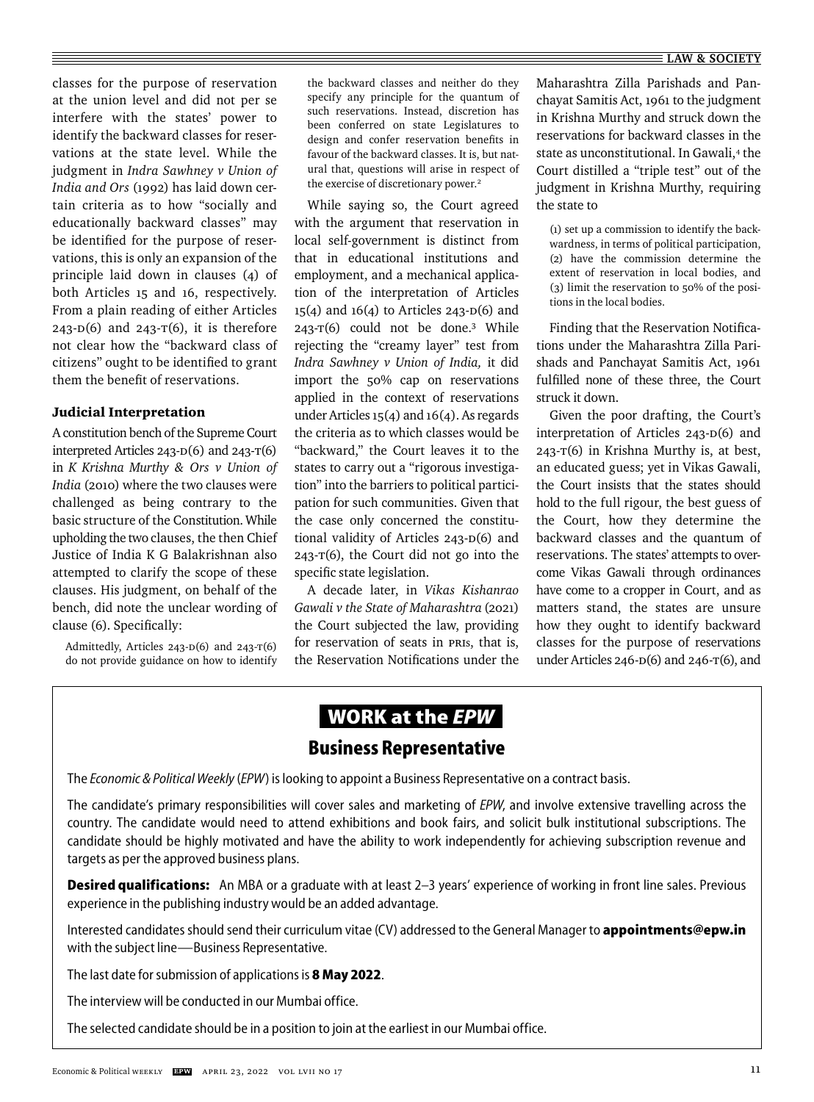#### **LAW & SOCIETY**

classes for the purpose of reservation at the union level and did not per se interfere with the states' power to identify the backward classes for reservations at the state level. While the judgment in *Indra Sawhney v Union of India and Ors* (1992) has laid down certain criteria as to how "socially and educationally backward classes" may be identified for the purpose of reservations, this is only an expansion of the principle laid down in clauses (4) of both Articles 15 and 16, respectively. From a plain reading of either Articles  $243-D(6)$  and  $243-T(6)$ , it is therefore not clear how the "backward class of citizens" ought to be identified to grant them the benefit of reservations.

### Judicial Interpretation

A constitution bench of the Supreme Court interpreted Articles 243-D(6) and 243-T(6) in *K Krishna Murthy & Ors v Union of India* (2010) where the two clauses were challenged as being contrary to the basic structure of the Constitution. While upholding the two clauses, the then Chief Justice of India K G Balakrishnan also attempted to clarify the scope of these clauses. His judgment, on behalf of the bench, did note the unclear wording of clause (6). Specifically:

Admittedly, Articles 243-D(6) and 243-T(6) do not provide guidance on how to identify the backward classes and neither do they specify any principle for the quantum of such reservations. Instead, discretion has been conferred on state Legislatures to design and confer reservation benefits in favour of the backward classes. It is, but natural that, questions will arise in respect of the exercise of discretionary power.<sup>2</sup>

While saying so, the Court agreed with the argument that reservation in local self-government is distinct from that in educational institutions and employment, and a mechanical application of the interpretation of Articles 15(4) and 16(4) to Articles 243-D(6) and  $243-T(6)$  could not be done.<sup>3</sup> While rejecting the "creamy layer" test from *Indra Sawhney v Union of India,* it did import the 50% cap on reservations applied in the context of reservations under Articles  $15(4)$  and  $16(4)$ . As regards the criteria as to which classes would be "backward," the Court leaves it to the states to carry out a "rigorous investigation" into the barriers to political participation for such communities. Given that the case only concerned the constitutional validity of Articles 243-D(6) and  $243-T(6)$ , the Court did not go into the specific state legislation.

A decade later, in *Vikas Kishanrao Gawali v the State of Maharashtra* (2021) the Court subjected the law, providing for reservation of seats in PRIs, that is, the Reservation Notifications under the

Maharashtra Zilla Parishads and Panchayat Samitis Act, 1961 to the judgment in Krishna Murthy and struck down the reservations for backward classes in the state as unconstitutional. In Gawali,<sup>4</sup> the Court distilled a "triple test" out of the judgment in Krishna Murthy, requiring the state to

(1) set up a commission to identify the backwardness, in terms of political participation, (2) have the commission determine the extent of reservation in local bodies, and (3) limit the reservation to 50% of the positions in the local bodies.

Finding that the Reservation Notifications under the Maharashtra Zilla Parishads and Panchayat Samitis Act, 1961 fulfilled none of these three, the Court struck it down.

Given the poor drafting, the Court's interpretation of Articles 243-D(6) and  $243-T(6)$  in Krishna Murthy is, at best, an educated guess; yet in Vikas Gawali, the Court insists that the states should hold to the full rigour, the best guess of the Court, how they determine the backward classes and the quantum of reservations. The states' attempts to overcome Vikas Gawali through ordinances have come to a cropper in Court, and as matters stand, the states are unsure how they ought to identify backward classes for the purpose of reservations under Articles  $246-D(6)$  and  $246-T(6)$ , and

### **WORK at the** *EPW*

### **Business Representative**

The *Economic & Political Weekly* (*EPW*) is looking to appoint a Business Representative on a contract basis.

The candidate's primary responsibilities will cover sales and marketing of *EPW*, and involve extensive travelling across the country. The candidate would need to attend exhibitions and book fairs, and solicit bulk institutional subscriptions. The candidate should be highly motivated and have the ability to work independently for achieving subscription revenue and targets as per the approved business plans.

**Desired qualifications:** An MBA or a graduate with at least 2–3 years' experience of working in front line sales. Previous experience in the publishing industry would be an added advantage.

Interested candidates should send their curriculum vitae (CV) addressed to the General Manager to **appointments@epw.in** with the subject line—Business Representative.

The last date for submission of applications is **8 May 2022**.

The interview will be conducted in our Mumbai office.

The selected candidate should be in a position to join at the earliest in our Mumbai office.